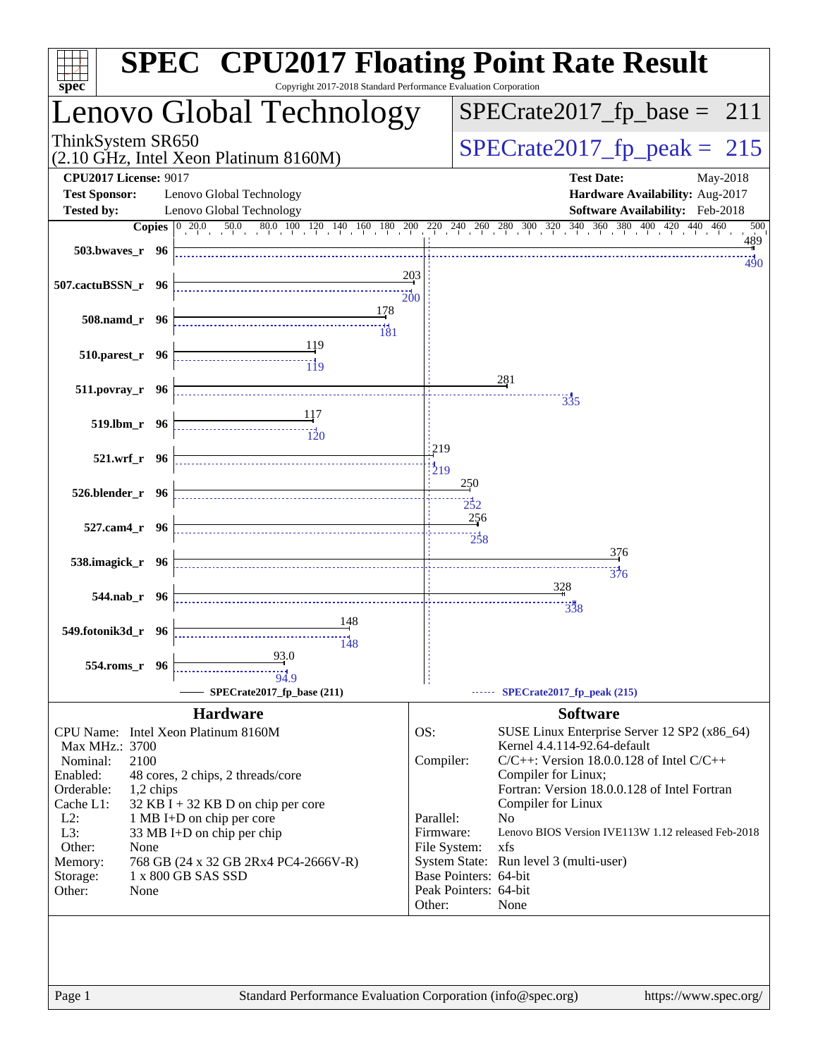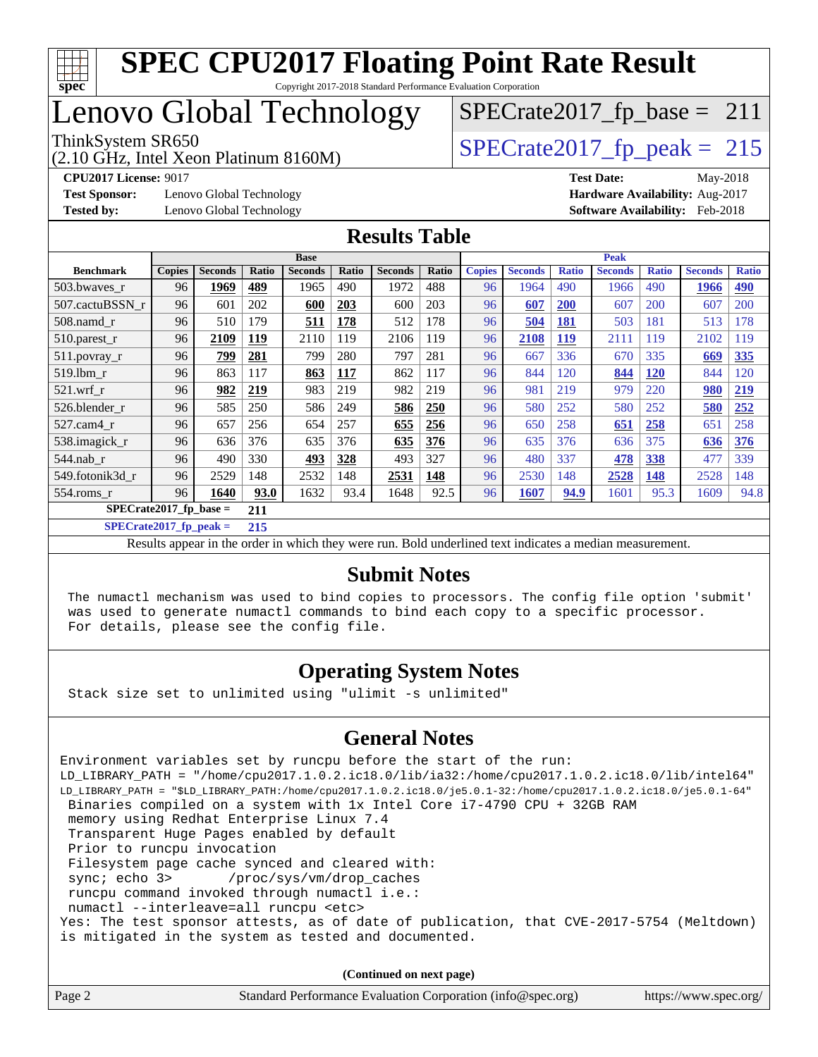

## Lenovo Global Technology

(2.10 GHz, Intel Xeon Platinum 8160M)

ThinkSystem SR650<br>(2.10 GHz, Intel Xeon Platinum 8160M)  $SPECrate2017_fp\_peak = 215$  $SPECrate2017_fp\_base = 211$ 

**[Test Sponsor:](http://www.spec.org/auto/cpu2017/Docs/result-fields.html#TestSponsor)** Lenovo Global Technology **[Hardware Availability:](http://www.spec.org/auto/cpu2017/Docs/result-fields.html#HardwareAvailability)** Aug-2017

**[CPU2017 License:](http://www.spec.org/auto/cpu2017/Docs/result-fields.html#CPU2017License)** 9017 **[Test Date:](http://www.spec.org/auto/cpu2017/Docs/result-fields.html#TestDate)** May-2018 **[Tested by:](http://www.spec.org/auto/cpu2017/Docs/result-fields.html#Testedby)** Lenovo Global Technology **[Software Availability:](http://www.spec.org/auto/cpu2017/Docs/result-fields.html#SoftwareAvailability)** Feb-2018

#### **[Results Table](http://www.spec.org/auto/cpu2017/Docs/result-fields.html#ResultsTable)**

|                           | <b>Base</b>   |                |              |                | <b>Peak</b>  |                |            |               |                |              |                |              |                |              |
|---------------------------|---------------|----------------|--------------|----------------|--------------|----------------|------------|---------------|----------------|--------------|----------------|--------------|----------------|--------------|
| <b>Benchmark</b>          | <b>Copies</b> | <b>Seconds</b> | <b>Ratio</b> | <b>Seconds</b> | <b>Ratio</b> | <b>Seconds</b> | Ratio      | <b>Copies</b> | <b>Seconds</b> | <b>Ratio</b> | <b>Seconds</b> | <b>Ratio</b> | <b>Seconds</b> | <b>Ratio</b> |
| 503.bwayes_r              | 96            | 1969           | 489          | 1965           | 490          | 1972           | 488        | 96            | 1964           | 490          | 1966           | 490          | 1966           | <b>490</b>   |
| 507.cactuBSSN r           | 96            | 601            | 202          | 600            | 203          | 600            | 203        | 96            | 607            | <b>200</b>   | 607            | 200          | 607            | 200          |
| $508$ .namd $r$           | 96            | 510            | 179          | 511            | 178          | 512            | 178        | 96            | 504            | <b>181</b>   | 503            | 181          | 513            | 178          |
| 510.parest_r              | 96            | 2109           | 119          | 2110           | 119          | 2106           | 119        | 96            | 2108           | 119          | 2111           | 119          | 2102           | 119          |
| 511.povray_r              | 96            | <u>799</u>     | 281          | 799            | 280          | 797            | 281        | 96            | 667            | 336          | 670            | 335          | 669            | <b>335</b>   |
| 519.lbm r                 | 96            | 863            | 117          | 863            | <u>117</u>   | 862            | 117        | 96            | 844            | 120          | 844            | <b>120</b>   | 844            | 120          |
| $521$ .wrf r              | 96            | 982            | 219          | 983            | 219          | 982            | 219        | 96            | 981            | 219          | 979            | 220          | 980            | 219          |
| 526.blender r             | 96            | 585            | 250          | 586            | 249          | 586            | <b>250</b> | 96            | 580            | 252          | 580            | 252          | 580            | 252          |
| 527.cam4 r                | 96            | 657            | 256          | 654            | 257          | 655            | 256        | 96            | 650            | 258          | 651            | 258          | 651            | 258          |
| 538.imagick_r             | 96            | 636            | 376          | 635            | 376          | 635            | 376        | 96            | 635            | 376          | 636            | 375          | 636            | 376          |
| $544$ .nab_r              | 96            | 490            | 330          | 493            | 328          | 493            | 327        | 96            | 480            | 337          | 478            | 338          | 477            | 339          |
| 549.fotonik3d r           | 96            | 2529           | 148          | 2532           | 148          | 2531           | 148        | 96            | 2530           | 148          | 2528           | <b>148</b>   | 2528           | 148          |
| $554$ .roms $r$           | 96            | 1640           | 93.0         | 1632           | 93.4         | 1648           | 92.5       | 96            | 1607           | 94.9         | 1601           | 95.3         | 1609           | 94.8         |
| $SPECrate2017_fp\_base =$ |               | 211            |              |                |              |                |            |               |                |              |                |              |                |              |

**[SPECrate2017\\_fp\\_peak =](http://www.spec.org/auto/cpu2017/Docs/result-fields.html#SPECrate2017fppeak) 215**

Results appear in the [order in which they were run.](http://www.spec.org/auto/cpu2017/Docs/result-fields.html#RunOrder) Bold underlined text [indicates a median measurement.](http://www.spec.org/auto/cpu2017/Docs/result-fields.html#Median)

#### **[Submit Notes](http://www.spec.org/auto/cpu2017/Docs/result-fields.html#SubmitNotes)**

 The numactl mechanism was used to bind copies to processors. The config file option 'submit' was used to generate numactl commands to bind each copy to a specific processor. For details, please see the config file.

#### **[Operating System Notes](http://www.spec.org/auto/cpu2017/Docs/result-fields.html#OperatingSystemNotes)**

Stack size set to unlimited using "ulimit -s unlimited"

#### **[General Notes](http://www.spec.org/auto/cpu2017/Docs/result-fields.html#GeneralNotes)**

Environment variables set by runcpu before the start of the run: LD\_LIBRARY\_PATH = "/home/cpu2017.1.0.2.ic18.0/lib/ia32:/home/cpu2017.1.0.2.ic18.0/lib/intel64" LD\_LIBRARY\_PATH = "\$LD\_LIBRARY\_PATH:/home/cpu2017.1.0.2.ic18.0/je5.0.1-32:/home/cpu2017.1.0.2.ic18.0/je5.0.1-64" Binaries compiled on a system with 1x Intel Core i7-4790 CPU + 32GB RAM memory using Redhat Enterprise Linux 7.4 Transparent Huge Pages enabled by default Prior to runcpu invocation Filesystem page cache synced and cleared with: sync; echo 3> /proc/sys/vm/drop\_caches runcpu command invoked through numactl i.e.: numactl --interleave=all runcpu <etc> Yes: The test sponsor attests, as of date of publication, that CVE-2017-5754 (Meltdown) is mitigated in the system as tested and documented.

**(Continued on next page)**

| Page 2 | Standard Performance Evaluation Corporation (info@spec.org) | https://www.spec.org/ |
|--------|-------------------------------------------------------------|-----------------------|
|--------|-------------------------------------------------------------|-----------------------|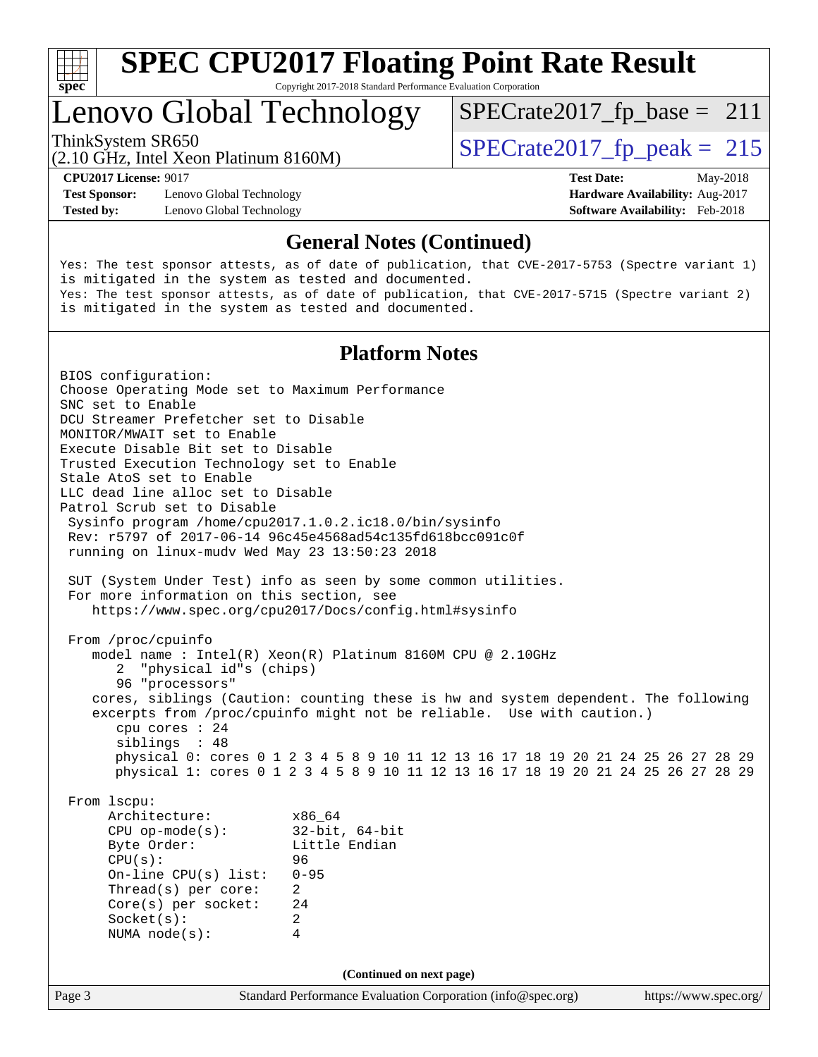

Copyright 2017-2018 Standard Performance Evaluation Corporation

## Lenovo Global Technology

(2.10 GHz, Intel Xeon Platinum 8160M)

ThinkSystem SR650<br>  $\frac{15}{210}$  CH<sub>z</sub> Intel Year Platinum 8160M

 $SPECrate2017_fp\_base = 211$ 

**[Test Sponsor:](http://www.spec.org/auto/cpu2017/Docs/result-fields.html#TestSponsor)** Lenovo Global Technology **[Hardware Availability:](http://www.spec.org/auto/cpu2017/Docs/result-fields.html#HardwareAvailability)** Aug-2017 **[Tested by:](http://www.spec.org/auto/cpu2017/Docs/result-fields.html#Testedby)** Lenovo Global Technology **[Software Availability:](http://www.spec.org/auto/cpu2017/Docs/result-fields.html#SoftwareAvailability)** Feb-2018

**[CPU2017 License:](http://www.spec.org/auto/cpu2017/Docs/result-fields.html#CPU2017License)** 9017 **[Test Date:](http://www.spec.org/auto/cpu2017/Docs/result-fields.html#TestDate)** May-2018

#### **[General Notes \(Continued\)](http://www.spec.org/auto/cpu2017/Docs/result-fields.html#GeneralNotes)**

Yes: The test sponsor attests, as of date of publication, that CVE-2017-5753 (Spectre variant 1) is mitigated in the system as tested and documented. Yes: The test sponsor attests, as of date of publication, that CVE-2017-5715 (Spectre variant 2) is mitigated in the system as tested and documented.

#### **[Platform Notes](http://www.spec.org/auto/cpu2017/Docs/result-fields.html#PlatformNotes)**

Page 3 Standard Performance Evaluation Corporation [\(info@spec.org\)](mailto:info@spec.org) <https://www.spec.org/> BIOS configuration: Choose Operating Mode set to Maximum Performance SNC set to Enable DCU Streamer Prefetcher set to Disable MONITOR/MWAIT set to Enable Execute Disable Bit set to Disable Trusted Execution Technology set to Enable Stale AtoS set to Enable LLC dead line alloc set to Disable Patrol Scrub set to Disable Sysinfo program /home/cpu2017.1.0.2.ic18.0/bin/sysinfo Rev: r5797 of 2017-06-14 96c45e4568ad54c135fd618bcc091c0f running on linux-mudv Wed May 23 13:50:23 2018 SUT (System Under Test) info as seen by some common utilities. For more information on this section, see <https://www.spec.org/cpu2017/Docs/config.html#sysinfo> From /proc/cpuinfo model name : Intel(R) Xeon(R) Platinum 8160M CPU @ 2.10GHz 2 "physical id"s (chips) 96 "processors" cores, siblings (Caution: counting these is hw and system dependent. The following excerpts from /proc/cpuinfo might not be reliable. Use with caution.) cpu cores : 24 siblings : 48 physical 0: cores 0 1 2 3 4 5 8 9 10 11 12 13 16 17 18 19 20 21 24 25 26 27 28 29 physical 1: cores 0 1 2 3 4 5 8 9 10 11 12 13 16 17 18 19 20 21 24 25 26 27 28 29 From lscpu: Architecture: x86\_64<br>
CPU op-mode(s): 32-bit, 64-bit CPU op-mode $(s)$ : Byte Order: Little Endian CPU(s): 96 On-line CPU(s) list: 0-95 Thread(s) per core: 2 Core(s) per socket: 24 Socket(s): 2 NUMA node(s): 4 **(Continued on next page)**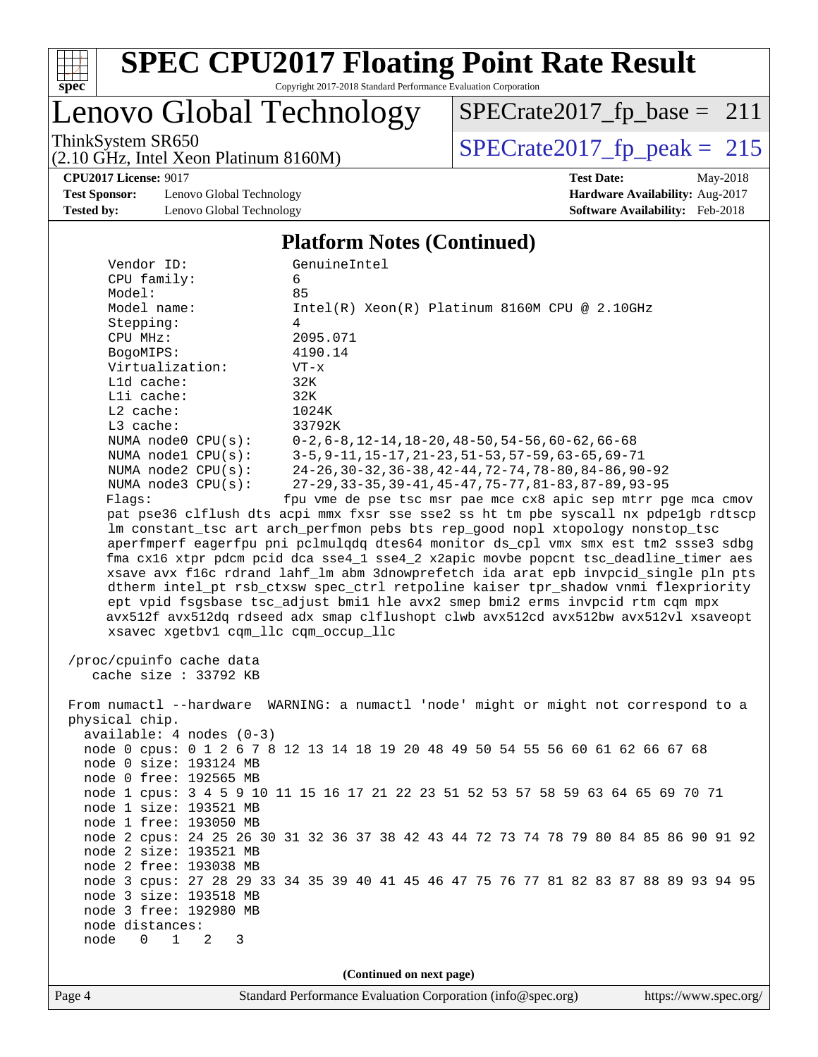

Copyright 2017-2018 Standard Performance Evaluation Corporation

## Lenovo Global Technology

(2.10 GHz, Intel Xeon Platinum 8160M)

ThinkSystem SR650<br>  $(2.10 \text{ GHz})$  Intel Yeon Platinum 8160M) [SPECrate2017\\_fp\\_peak =](http://www.spec.org/auto/cpu2017/Docs/result-fields.html#SPECrate2017fppeak) 215 [SPECrate2017\\_fp\\_base =](http://www.spec.org/auto/cpu2017/Docs/result-fields.html#SPECrate2017fpbase) 211

**[Test Sponsor:](http://www.spec.org/auto/cpu2017/Docs/result-fields.html#TestSponsor)** Lenovo Global Technology **[Hardware Availability:](http://www.spec.org/auto/cpu2017/Docs/result-fields.html#HardwareAvailability)** Aug-2017 **[Tested by:](http://www.spec.org/auto/cpu2017/Docs/result-fields.html#Testedby)** Lenovo Global Technology **[Software Availability:](http://www.spec.org/auto/cpu2017/Docs/result-fields.html#SoftwareAvailability)** Feb-2018

**[CPU2017 License:](http://www.spec.org/auto/cpu2017/Docs/result-fields.html#CPU2017License)** 9017 **[Test Date:](http://www.spec.org/auto/cpu2017/Docs/result-fields.html#TestDate)** May-2018

#### **[Platform Notes \(Continued\)](http://www.spec.org/auto/cpu2017/Docs/result-fields.html#PlatformNotes)**

| Vendor ID:<br>CPU family:<br>6<br>85<br>Model:                         | GenuineIntel                                                                                                                                                                                                                                                      |
|------------------------------------------------------------------------|-------------------------------------------------------------------------------------------------------------------------------------------------------------------------------------------------------------------------------------------------------------------|
| Model name:<br>Stepping:<br>4<br>CPU MHz:                              | $Intel(R) Xeon(R) Platinum 8160M CPU @ 2.10GHz$<br>2095.071                                                                                                                                                                                                       |
| BogoMIPS:<br>Virtualization:<br>$VT - x$                               | 4190.14                                                                                                                                                                                                                                                           |
| L1d cache:<br>32K<br>Lli cache:<br>32K<br>1024K<br>L2 cache:           |                                                                                                                                                                                                                                                                   |
| L3 cache:<br>NUMA node0 CPU(s):                                        | 33792K<br>$0-2, 6-8, 12-14, 18-20, 48-50, 54-56, 60-62, 66-68$                                                                                                                                                                                                    |
| NUMA $node1$ $CPU(s):$<br>NUMA $node2$ $CPU(s)$ :                      | $3-5, 9-11, 15-17, 21-23, 51-53, 57-59, 63-65, 69-71$<br>24-26, 30-32, 36-38, 42-44, 72-74, 78-80, 84-86, 90-92                                                                                                                                                   |
| NUMA $node3$ $CPU(s):$<br>Flags:                                       | 27-29, 33-35, 39-41, 45-47, 75-77, 81-83, 87-89, 93-95<br>fpu vme de pse tsc msr pae mce cx8 apic sep mtrr pge mca cmov                                                                                                                                           |
|                                                                        | pat pse36 clflush dts acpi mmx fxsr sse sse2 ss ht tm pbe syscall nx pdpe1gb rdtscp<br>lm constant_tsc art arch_perfmon pebs bts rep_good nopl xtopology nonstop_tsc                                                                                              |
|                                                                        | aperfmperf eagerfpu pni pclmulqdq dtes64 monitor ds_cpl vmx smx est tm2 ssse3 sdbg<br>fma cx16 xtpr pdcm pcid dca sse4_1 sse4_2 x2apic movbe popcnt tsc_deadline_timer aes<br>xsave avx f16c rdrand lahf_lm abm 3dnowprefetch ida arat epb invpcid_single pln pts |
|                                                                        | dtherm intel_pt rsb_ctxsw spec_ctrl retpoline kaiser tpr_shadow vnmi flexpriority<br>ept vpid fsgsbase tsc_adjust bmil hle avx2 smep bmi2 erms invpcid rtm cqm mpx                                                                                                |
| xsavec xgetbvl cqm_llc cqm_occup_llc                                   | avx512f avx512dq rdseed adx smap clflushopt clwb avx512cd avx512bw avx512vl xsaveopt                                                                                                                                                                              |
| /proc/cpuinfo cache data<br>cache size : 33792 KB                      |                                                                                                                                                                                                                                                                   |
| physical chip.                                                         | From numactl --hardware WARNING: a numactl 'node' might or might not correspond to a                                                                                                                                                                              |
| $available: 4 nodes (0-3)$                                             | node 0 cpus: 0 1 2 6 7 8 12 13 14 18 19 20 48 49 50 54 55 56 60 61 62 66 67 68                                                                                                                                                                                    |
| node 0 size: 193124 MB<br>node 0 free: 192565 MB                       |                                                                                                                                                                                                                                                                   |
| node 1 size: 193521 MB                                                 | node 1 cpus: 3 4 5 9 10 11 15 16 17 21 22 23 51 52 53 57 58 59 63 64 65 69 70 71                                                                                                                                                                                  |
| node 1 free: 193050 MB                                                 | node 2 cpus: 24 25 26 30 31 32 36 37 38 42 43 44 72 73 74 78 79 80 84 85 86 90 91 92                                                                                                                                                                              |
| node 2 size: 193521 MB<br>node 2 free: 193038 MB                       | node 3 cpus: 27 28 29 33 34 35 39 40 41 45 46 47 75 76 77 81 82 83 87 88 89 93 94 95                                                                                                                                                                              |
| node 3 size: 193518 MB<br>node 3 free: 192980 MB                       |                                                                                                                                                                                                                                                                   |
| node distances:<br>node<br>$\mathbf{1}$<br>$0 \qquad \qquad$<br>2<br>3 |                                                                                                                                                                                                                                                                   |
|                                                                        | (Continued on next page)                                                                                                                                                                                                                                          |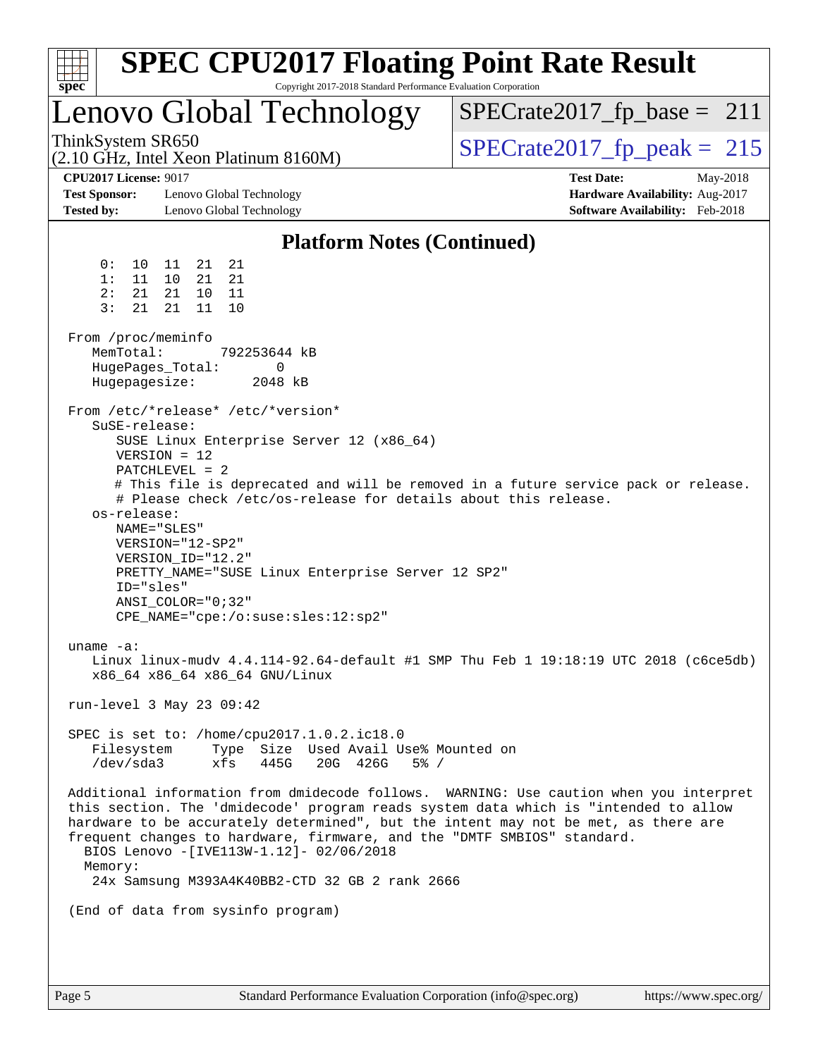| <b>SPEC CPU2017 Floating Point Rate Result</b><br>Copyright 2017-2018 Standard Performance Evaluation Corporation<br>spec                                                                                                                                                                                                                                                                                                                                                                                                                                                                                                                                                                                                   |                                                                                                     |
|-----------------------------------------------------------------------------------------------------------------------------------------------------------------------------------------------------------------------------------------------------------------------------------------------------------------------------------------------------------------------------------------------------------------------------------------------------------------------------------------------------------------------------------------------------------------------------------------------------------------------------------------------------------------------------------------------------------------------------|-----------------------------------------------------------------------------------------------------|
| Lenovo Global Technology                                                                                                                                                                                                                                                                                                                                                                                                                                                                                                                                                                                                                                                                                                    | $SPECrate2017_fp\_base = 211$                                                                       |
| ThinkSystem SR650<br>(2.10 GHz, Intel Xeon Platinum 8160M)                                                                                                                                                                                                                                                                                                                                                                                                                                                                                                                                                                                                                                                                  | $SPECTate2017$ _fp_peak = 215                                                                       |
| <b>CPU2017 License: 9017</b><br><b>Test Sponsor:</b><br>Lenovo Global Technology<br><b>Tested by:</b><br>Lenovo Global Technology                                                                                                                                                                                                                                                                                                                                                                                                                                                                                                                                                                                           | <b>Test Date:</b><br>May-2018<br>Hardware Availability: Aug-2017<br>Software Availability: Feb-2018 |
| <b>Platform Notes (Continued)</b>                                                                                                                                                                                                                                                                                                                                                                                                                                                                                                                                                                                                                                                                                           |                                                                                                     |
| 21<br>0 :<br>10<br>11<br>21<br>21<br>21<br>1:<br>11<br>10<br>2:<br>21<br>21<br>10<br>11<br>3:<br>21<br>11<br>10<br>21                                                                                                                                                                                                                                                                                                                                                                                                                                                                                                                                                                                                       |                                                                                                     |
| From /proc/meminfo<br>MemTotal:<br>792253644 kB<br>HugePages_Total:<br>$\Omega$<br>Hugepagesize:<br>2048 kB                                                                                                                                                                                                                                                                                                                                                                                                                                                                                                                                                                                                                 |                                                                                                     |
| From /etc/*release* /etc/*version*<br>SuSE-release:<br>SUSE Linux Enterprise Server 12 (x86_64)<br>$VERSION = 12$<br>$PATCHLEVEL = 2$<br># This file is deprecated and will be removed in a future service pack or release.<br># Please check /etc/os-release for details about this release.<br>os-release:<br>NAME="SLES"<br>VERSION="12-SP2"<br>VERSION_ID="12.2"<br>PRETTY_NAME="SUSE Linux Enterprise Server 12 SP2"<br>ID="sles"<br>$ANSI$ _COLOR=" $0:32$ "<br>CPE_NAME="cpe:/o:suse:sles:12:sp2"<br>uname $-a$ :<br>Linux linux-mudv 4.4.114-92.64-default #1 SMP Thu Feb 1 19:18:19 UTC 2018 (c6ce5db)<br>x86_64 x86_64 x86_64 GNU/Linux<br>run-level 3 May 23 09:42<br>SPEC is set to: /home/cpu2017.1.0.2.ic18.0 |                                                                                                     |
| Type Size Used Avail Use% Mounted on<br>Filesystem<br>/dev/sda3<br>xfs<br>445G<br>20G 426G<br>$5\%$ /<br>Additional information from dmidecode follows. WARNING: Use caution when you interpret<br>this section. The 'dmidecode' program reads system data which is "intended to allow<br>hardware to be accurately determined", but the intent may not be met, as there are<br>frequent changes to hardware, firmware, and the "DMTF SMBIOS" standard.<br>BIOS Lenovo -[IVE113W-1.12]- 02/06/2018<br>Memory:<br>24x Samsung M393A4K40BB2-CTD 32 GB 2 rank 2666<br>(End of data from sysinfo program)                                                                                                                       |                                                                                                     |
|                                                                                                                                                                                                                                                                                                                                                                                                                                                                                                                                                                                                                                                                                                                             |                                                                                                     |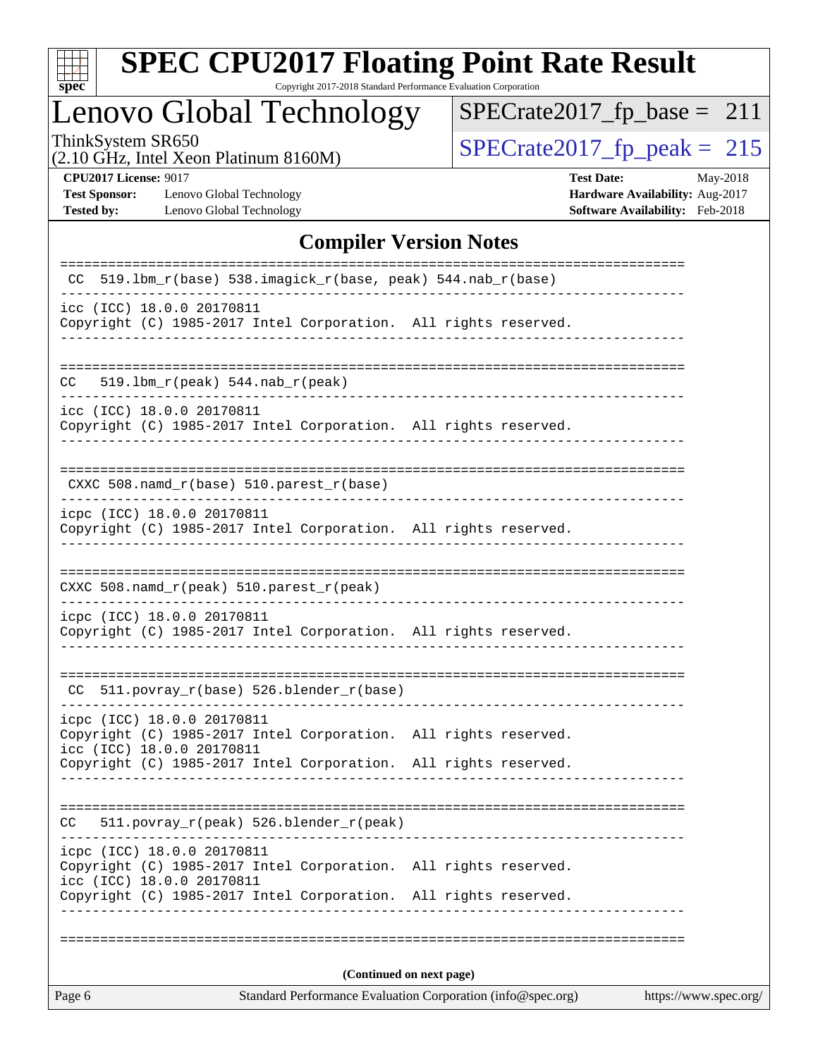

Copyright 2017-2018 Standard Performance Evaluation Corporation

## Lenovo Global Technology

ThinkSystem SR650<br>  $(2.10 \text{ GHz})$  Intel Xeon Platinum 8160M) [SPECrate2017\\_fp\\_peak =](http://www.spec.org/auto/cpu2017/Docs/result-fields.html#SPECrate2017fppeak) 215 [SPECrate2017\\_fp\\_base =](http://www.spec.org/auto/cpu2017/Docs/result-fields.html#SPECrate2017fpbase) 211

(2.10 GHz, Intel Xeon Platinum 8160M)

**[CPU2017 License:](http://www.spec.org/auto/cpu2017/Docs/result-fields.html#CPU2017License)** 9017 **[Test Date:](http://www.spec.org/auto/cpu2017/Docs/result-fields.html#TestDate)** May-2018

**[Test Sponsor:](http://www.spec.org/auto/cpu2017/Docs/result-fields.html#TestSponsor)** Lenovo Global Technology **[Hardware Availability:](http://www.spec.org/auto/cpu2017/Docs/result-fields.html#HardwareAvailability)** Aug-2017 **[Tested by:](http://www.spec.org/auto/cpu2017/Docs/result-fields.html#Testedby)** Lenovo Global Technology **[Software Availability:](http://www.spec.org/auto/cpu2017/Docs/result-fields.html#SoftwareAvailability)** Feb-2018

#### **[Compiler Version Notes](http://www.spec.org/auto/cpu2017/Docs/result-fields.html#CompilerVersionNotes)**

| Page 6                                                                                                                                                                                        | Standard Performance Evaluation Corporation (info@spec.org)<br>https://www.spec.org/ |
|-----------------------------------------------------------------------------------------------------------------------------------------------------------------------------------------------|--------------------------------------------------------------------------------------|
|                                                                                                                                                                                               | (Continued on next page)                                                             |
|                                                                                                                                                                                               |                                                                                      |
| icpc (ICC) 18.0.0 20170811<br>Copyright (C) 1985-2017 Intel Corporation. All rights reserved.<br>icc (ICC) 18.0.0 20170811<br>Copyright (C) 1985-2017 Intel Corporation. All rights reserved. |                                                                                      |
| 511.povray_r(peak) 526.blender_r(peak)<br>CC.                                                                                                                                                 |                                                                                      |
| Copyright (C) 1985-2017 Intel Corporation. All rights reserved.                                                                                                                               |                                                                                      |
| icpc (ICC) 18.0.0 20170811<br>Copyright (C) 1985-2017 Intel Corporation. All rights reserved.<br>icc (ICC) 18.0.0 20170811                                                                    |                                                                                      |
| $CC$ 511.povray_r(base) 526.blender_r(base)                                                                                                                                                   |                                                                                      |
| icpc (ICC) 18.0.0 20170811<br>Copyright (C) 1985-2017 Intel Corporation. All rights reserved.                                                                                                 |                                                                                      |
| CXXC 508.namd_r(peak) 510.parest_r(peak)                                                                                                                                                      |                                                                                      |
| icpc (ICC) 18.0.0 20170811<br>Copyright (C) 1985-2017 Intel Corporation. All rights reserved.                                                                                                 |                                                                                      |
| $CXXC 508.namd_r(base) 510.parest_r(base)$                                                                                                                                                    |                                                                                      |
| icc (ICC) 18.0.0 20170811<br>Copyright (C) 1985-2017 Intel Corporation. All rights reserved.                                                                                                  |                                                                                      |
| $519.1bm_r(peak) 544.nab_r(peak)$<br>CC                                                                                                                                                       |                                                                                      |
| icc (ICC) 18.0.0 20170811<br>Copyright (C) 1985-2017 Intel Corporation. All rights reserved.                                                                                                  |                                                                                      |
| 519.1bm_r(base) 538.imagick_r(base, peak) 544.nab_r(base)<br>CC.                                                                                                                              | ===========<br>==============================                                        |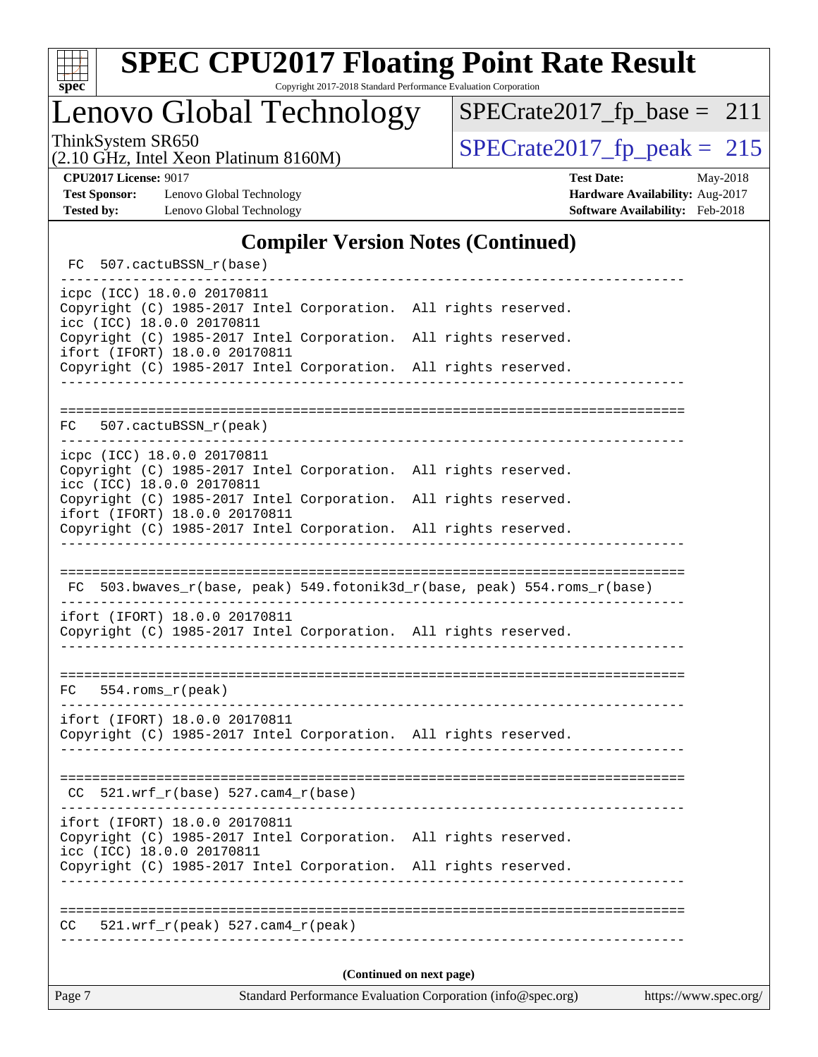

Copyright 2017-2018 Standard Performance Evaluation Corporation

Lenovo Global Technology

ThinkSystem SR650<br>  $(2.10 \text{ GHz})$  Intel Xeon Platinum 8160M) [SPECrate2017\\_fp\\_peak =](http://www.spec.org/auto/cpu2017/Docs/result-fields.html#SPECrate2017fppeak) 215 [SPECrate2017\\_fp\\_base =](http://www.spec.org/auto/cpu2017/Docs/result-fields.html#SPECrate2017fpbase) 211

(2.10 GHz, Intel Xeon Platinum 8160M)

**[Test Sponsor:](http://www.spec.org/auto/cpu2017/Docs/result-fields.html#TestSponsor)** Lenovo Global Technology **[Hardware Availability:](http://www.spec.org/auto/cpu2017/Docs/result-fields.html#HardwareAvailability)** Aug-2017 **[Tested by:](http://www.spec.org/auto/cpu2017/Docs/result-fields.html#Testedby)** Lenovo Global Technology **[Software Availability:](http://www.spec.org/auto/cpu2017/Docs/result-fields.html#SoftwareAvailability)** Feb-2018

**[CPU2017 License:](http://www.spec.org/auto/cpu2017/Docs/result-fields.html#CPU2017License)** 9017 **[Test Date:](http://www.spec.org/auto/cpu2017/Docs/result-fields.html#TestDate)** May-2018

### **[Compiler Version Notes \(Continued\)](http://www.spec.org/auto/cpu2017/Docs/result-fields.html#CompilerVersionNotes)**

| FC 507.cactuBSSN_r(base)                                                                                                      |                  |                                                                          |  |  |  |
|-------------------------------------------------------------------------------------------------------------------------------|------------------|--------------------------------------------------------------------------|--|--|--|
| icpc (ICC) 18.0.0 20170811<br>Copyright (C) 1985-2017 Intel Corporation. All rights reserved.<br>icc (ICC) 18.0.0 20170811    |                  |                                                                          |  |  |  |
| Copyright (C) 1985-2017 Intel Corporation. All rights reserved.<br>ifort (IFORT) 18.0.0 20170811                              |                  |                                                                          |  |  |  |
| Copyright (C) 1985-2017 Intel Corporation. All rights reserved.                                                               |                  |                                                                          |  |  |  |
|                                                                                                                               |                  |                                                                          |  |  |  |
| 507.cactuBSSN_r(peak)<br>FC                                                                                                   |                  |                                                                          |  |  |  |
| icpc (ICC) 18.0.0 20170811<br>Copyright (C) 1985-2017 Intel Corporation. All rights reserved.                                 |                  |                                                                          |  |  |  |
| icc (ICC) 18.0.0 20170811                                                                                                     |                  |                                                                          |  |  |  |
| Copyright (C) 1985-2017 Intel Corporation. All rights reserved.<br>ifort (IFORT) 18.0.0 20170811                              |                  |                                                                          |  |  |  |
| Copyright (C) 1985-2017 Intel Corporation. All rights reserved.                                                               |                  |                                                                          |  |  |  |
|                                                                                                                               |                  |                                                                          |  |  |  |
|                                                                                                                               |                  | FC 503.bwaves_r(base, peak) 549.fotonik3d_r(base, peak) 554.roms_r(base) |  |  |  |
| ifort (IFORT) 18.0.0 20170811<br>Copyright (C) 1985-2017 Intel Corporation. All rights reserved.                              |                  |                                                                          |  |  |  |
|                                                                                                                               |                  |                                                                          |  |  |  |
| $FC 554.rows_r (peak)$                                                                                                        |                  |                                                                          |  |  |  |
| ifort (IFORT) 18.0.0 20170811<br>Copyright (C) 1985-2017 Intel Corporation. All rights reserved.                              |                  |                                                                          |  |  |  |
|                                                                                                                               |                  |                                                                          |  |  |  |
| $CC$ 521.wrf_r(base) 527.cam4_r(base)                                                                                         |                  |                                                                          |  |  |  |
| ifort (IFORT) 18.0.0 20170811<br>Copyright (C) 1985-2017 Intel Corporation. All rights reserved.<br>icc (ICC) 18.0.0 20170811 |                  |                                                                          |  |  |  |
| Copyright (C) 1985-2017 Intel Corporation. All rights reserved.                                                               | ________________ |                                                                          |  |  |  |
| 521.wrf $r(\text{peak})$ 527.cam4 $r(\text{peak})$<br>CC.                                                                     |                  | -----------------------------                                            |  |  |  |
| (Continued on next page)                                                                                                      |                  |                                                                          |  |  |  |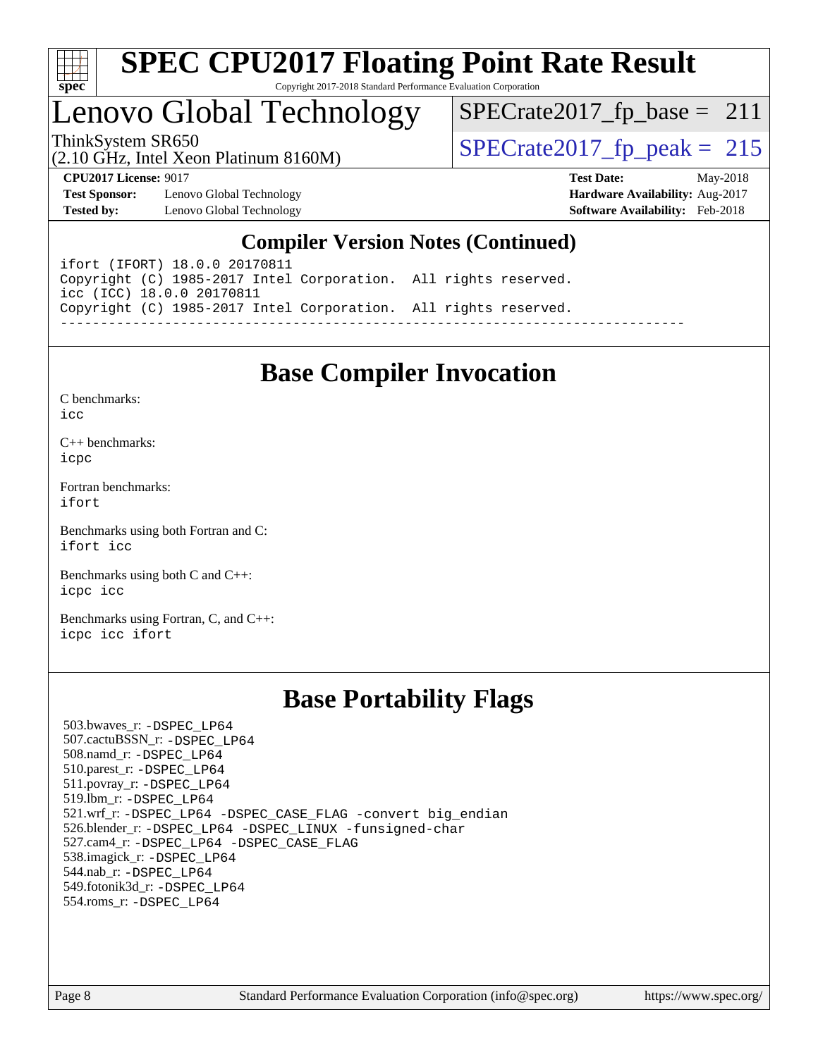

## Lenovo Global Technology

ThinkSystem SR650<br>  $\frac{15}{210}$  CH<sub>z</sub> Intel Year Platinum 8160M  $SPECTate2017_fp\_base = 211$ 

(2.10 GHz, Intel Xeon Platinum 8160M)

**[Test Sponsor:](http://www.spec.org/auto/cpu2017/Docs/result-fields.html#TestSponsor)** Lenovo Global Technology **[Hardware Availability:](http://www.spec.org/auto/cpu2017/Docs/result-fields.html#HardwareAvailability)** Aug-2017 **[Tested by:](http://www.spec.org/auto/cpu2017/Docs/result-fields.html#Testedby)** Lenovo Global Technology **[Software Availability:](http://www.spec.org/auto/cpu2017/Docs/result-fields.html#SoftwareAvailability)** Feb-2018

**[CPU2017 License:](http://www.spec.org/auto/cpu2017/Docs/result-fields.html#CPU2017License)** 9017 **[Test Date:](http://www.spec.org/auto/cpu2017/Docs/result-fields.html#TestDate)** May-2018

### **[Compiler Version Notes \(Continued\)](http://www.spec.org/auto/cpu2017/Docs/result-fields.html#CompilerVersionNotes)**

ifort (IFORT) 18.0.0 20170811 Copyright (C) 1985-2017 Intel Corporation. All rights reserved. icc (ICC) 18.0.0 20170811 Copyright (C) 1985-2017 Intel Corporation. All rights reserved. ------------------------------------------------------------------------------

## **[Base Compiler Invocation](http://www.spec.org/auto/cpu2017/Docs/result-fields.html#BaseCompilerInvocation)**

[C benchmarks](http://www.spec.org/auto/cpu2017/Docs/result-fields.html#Cbenchmarks):  $i$ cc

[C++ benchmarks:](http://www.spec.org/auto/cpu2017/Docs/result-fields.html#CXXbenchmarks) [icpc](http://www.spec.org/cpu2017/results/res2018q2/cpu2017-20180529-06568.flags.html#user_CXXbase_intel_icpc_18.0_c510b6838c7f56d33e37e94d029a35b4a7bccf4766a728ee175e80a419847e808290a9b78be685c44ab727ea267ec2f070ec5dc83b407c0218cded6866a35d07)

[Fortran benchmarks](http://www.spec.org/auto/cpu2017/Docs/result-fields.html#Fortranbenchmarks): [ifort](http://www.spec.org/cpu2017/results/res2018q2/cpu2017-20180529-06568.flags.html#user_FCbase_intel_ifort_18.0_8111460550e3ca792625aed983ce982f94888b8b503583aa7ba2b8303487b4d8a21a13e7191a45c5fd58ff318f48f9492884d4413fa793fd88dd292cad7027ca)

[Benchmarks using both Fortran and C](http://www.spec.org/auto/cpu2017/Docs/result-fields.html#BenchmarksusingbothFortranandC): [ifort](http://www.spec.org/cpu2017/results/res2018q2/cpu2017-20180529-06568.flags.html#user_CC_FCbase_intel_ifort_18.0_8111460550e3ca792625aed983ce982f94888b8b503583aa7ba2b8303487b4d8a21a13e7191a45c5fd58ff318f48f9492884d4413fa793fd88dd292cad7027ca) [icc](http://www.spec.org/cpu2017/results/res2018q2/cpu2017-20180529-06568.flags.html#user_CC_FCbase_intel_icc_18.0_66fc1ee009f7361af1fbd72ca7dcefbb700085f36577c54f309893dd4ec40d12360134090235512931783d35fd58c0460139e722d5067c5574d8eaf2b3e37e92)

[Benchmarks using both C and C++](http://www.spec.org/auto/cpu2017/Docs/result-fields.html#BenchmarksusingbothCandCXX): [icpc](http://www.spec.org/cpu2017/results/res2018q2/cpu2017-20180529-06568.flags.html#user_CC_CXXbase_intel_icpc_18.0_c510b6838c7f56d33e37e94d029a35b4a7bccf4766a728ee175e80a419847e808290a9b78be685c44ab727ea267ec2f070ec5dc83b407c0218cded6866a35d07) [icc](http://www.spec.org/cpu2017/results/res2018q2/cpu2017-20180529-06568.flags.html#user_CC_CXXbase_intel_icc_18.0_66fc1ee009f7361af1fbd72ca7dcefbb700085f36577c54f309893dd4ec40d12360134090235512931783d35fd58c0460139e722d5067c5574d8eaf2b3e37e92)

[Benchmarks using Fortran, C, and C++:](http://www.spec.org/auto/cpu2017/Docs/result-fields.html#BenchmarksusingFortranCandCXX) [icpc](http://www.spec.org/cpu2017/results/res2018q2/cpu2017-20180529-06568.flags.html#user_CC_CXX_FCbase_intel_icpc_18.0_c510b6838c7f56d33e37e94d029a35b4a7bccf4766a728ee175e80a419847e808290a9b78be685c44ab727ea267ec2f070ec5dc83b407c0218cded6866a35d07) [icc](http://www.spec.org/cpu2017/results/res2018q2/cpu2017-20180529-06568.flags.html#user_CC_CXX_FCbase_intel_icc_18.0_66fc1ee009f7361af1fbd72ca7dcefbb700085f36577c54f309893dd4ec40d12360134090235512931783d35fd58c0460139e722d5067c5574d8eaf2b3e37e92) [ifort](http://www.spec.org/cpu2017/results/res2018q2/cpu2017-20180529-06568.flags.html#user_CC_CXX_FCbase_intel_ifort_18.0_8111460550e3ca792625aed983ce982f94888b8b503583aa7ba2b8303487b4d8a21a13e7191a45c5fd58ff318f48f9492884d4413fa793fd88dd292cad7027ca)

### **[Base Portability Flags](http://www.spec.org/auto/cpu2017/Docs/result-fields.html#BasePortabilityFlags)**

 503.bwaves\_r: [-DSPEC\\_LP64](http://www.spec.org/cpu2017/results/res2018q2/cpu2017-20180529-06568.flags.html#suite_basePORTABILITY503_bwaves_r_DSPEC_LP64) 507.cactuBSSN\_r: [-DSPEC\\_LP64](http://www.spec.org/cpu2017/results/res2018q2/cpu2017-20180529-06568.flags.html#suite_basePORTABILITY507_cactuBSSN_r_DSPEC_LP64) 508.namd\_r: [-DSPEC\\_LP64](http://www.spec.org/cpu2017/results/res2018q2/cpu2017-20180529-06568.flags.html#suite_basePORTABILITY508_namd_r_DSPEC_LP64) 510.parest\_r: [-DSPEC\\_LP64](http://www.spec.org/cpu2017/results/res2018q2/cpu2017-20180529-06568.flags.html#suite_basePORTABILITY510_parest_r_DSPEC_LP64) 511.povray\_r: [-DSPEC\\_LP64](http://www.spec.org/cpu2017/results/res2018q2/cpu2017-20180529-06568.flags.html#suite_basePORTABILITY511_povray_r_DSPEC_LP64) 519.lbm\_r: [-DSPEC\\_LP64](http://www.spec.org/cpu2017/results/res2018q2/cpu2017-20180529-06568.flags.html#suite_basePORTABILITY519_lbm_r_DSPEC_LP64) 521.wrf\_r: [-DSPEC\\_LP64](http://www.spec.org/cpu2017/results/res2018q2/cpu2017-20180529-06568.flags.html#suite_basePORTABILITY521_wrf_r_DSPEC_LP64) [-DSPEC\\_CASE\\_FLAG](http://www.spec.org/cpu2017/results/res2018q2/cpu2017-20180529-06568.flags.html#b521.wrf_r_baseCPORTABILITY_DSPEC_CASE_FLAG) [-convert big\\_endian](http://www.spec.org/cpu2017/results/res2018q2/cpu2017-20180529-06568.flags.html#user_baseFPORTABILITY521_wrf_r_convert_big_endian_c3194028bc08c63ac5d04de18c48ce6d347e4e562e8892b8bdbdc0214820426deb8554edfa529a3fb25a586e65a3d812c835984020483e7e73212c4d31a38223) 526.blender\_r: [-DSPEC\\_LP64](http://www.spec.org/cpu2017/results/res2018q2/cpu2017-20180529-06568.flags.html#suite_basePORTABILITY526_blender_r_DSPEC_LP64) [-DSPEC\\_LINUX](http://www.spec.org/cpu2017/results/res2018q2/cpu2017-20180529-06568.flags.html#b526.blender_r_baseCPORTABILITY_DSPEC_LINUX) [-funsigned-char](http://www.spec.org/cpu2017/results/res2018q2/cpu2017-20180529-06568.flags.html#user_baseCPORTABILITY526_blender_r_force_uchar_40c60f00ab013830e2dd6774aeded3ff59883ba5a1fc5fc14077f794d777847726e2a5858cbc7672e36e1b067e7e5c1d9a74f7176df07886a243d7cc18edfe67) 527.cam4\_r: [-DSPEC\\_LP64](http://www.spec.org/cpu2017/results/res2018q2/cpu2017-20180529-06568.flags.html#suite_basePORTABILITY527_cam4_r_DSPEC_LP64) [-DSPEC\\_CASE\\_FLAG](http://www.spec.org/cpu2017/results/res2018q2/cpu2017-20180529-06568.flags.html#b527.cam4_r_baseCPORTABILITY_DSPEC_CASE_FLAG) 538.imagick\_r: [-DSPEC\\_LP64](http://www.spec.org/cpu2017/results/res2018q2/cpu2017-20180529-06568.flags.html#suite_basePORTABILITY538_imagick_r_DSPEC_LP64) 544.nab\_r: [-DSPEC\\_LP64](http://www.spec.org/cpu2017/results/res2018q2/cpu2017-20180529-06568.flags.html#suite_basePORTABILITY544_nab_r_DSPEC_LP64) 549.fotonik3d\_r: [-DSPEC\\_LP64](http://www.spec.org/cpu2017/results/res2018q2/cpu2017-20180529-06568.flags.html#suite_basePORTABILITY549_fotonik3d_r_DSPEC_LP64) 554.roms\_r: [-DSPEC\\_LP64](http://www.spec.org/cpu2017/results/res2018q2/cpu2017-20180529-06568.flags.html#suite_basePORTABILITY554_roms_r_DSPEC_LP64)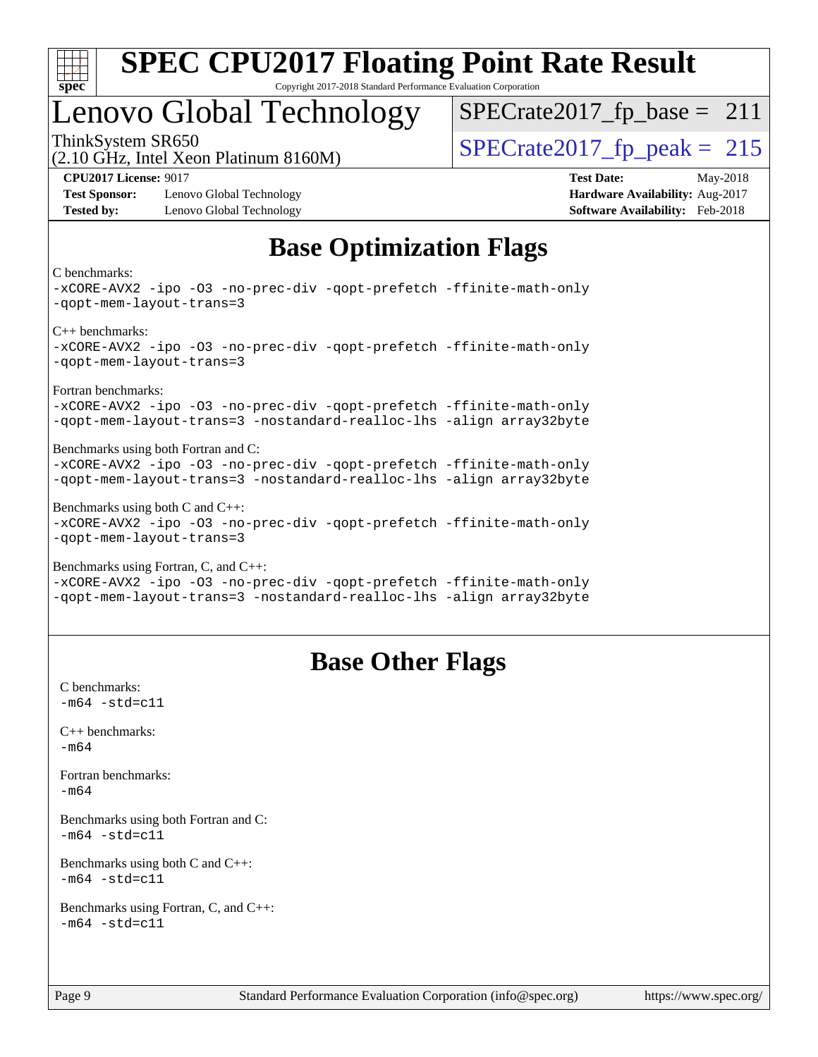

## Lenovo Global Technology

ThinkSystem SR650<br>  $\frac{15}{210}$  CH<sub>z</sub> Intel Year Platinum 8160M  $SPECrate2017_fp\_base = 211$ 

(2.10 GHz, Intel Xeon Platinum 8160M)

**[Test Sponsor:](http://www.spec.org/auto/cpu2017/Docs/result-fields.html#TestSponsor)** Lenovo Global Technology **[Hardware Availability:](http://www.spec.org/auto/cpu2017/Docs/result-fields.html#HardwareAvailability)** Aug-2017 **[Tested by:](http://www.spec.org/auto/cpu2017/Docs/result-fields.html#Testedby)** Lenovo Global Technology **[Software Availability:](http://www.spec.org/auto/cpu2017/Docs/result-fields.html#SoftwareAvailability)** Feb-2018

**[CPU2017 License:](http://www.spec.org/auto/cpu2017/Docs/result-fields.html#CPU2017License)** 9017 **[Test Date:](http://www.spec.org/auto/cpu2017/Docs/result-fields.html#TestDate)** May-2018

## **[Base Optimization Flags](http://www.spec.org/auto/cpu2017/Docs/result-fields.html#BaseOptimizationFlags)**

[C benchmarks:](http://www.spec.org/auto/cpu2017/Docs/result-fields.html#Cbenchmarks)

[-xCORE-AVX2](http://www.spec.org/cpu2017/results/res2018q2/cpu2017-20180529-06568.flags.html#user_CCbase_f-xCORE-AVX2) [-ipo](http://www.spec.org/cpu2017/results/res2018q2/cpu2017-20180529-06568.flags.html#user_CCbase_f-ipo) [-O3](http://www.spec.org/cpu2017/results/res2018q2/cpu2017-20180529-06568.flags.html#user_CCbase_f-O3) [-no-prec-div](http://www.spec.org/cpu2017/results/res2018q2/cpu2017-20180529-06568.flags.html#user_CCbase_f-no-prec-div) [-qopt-prefetch](http://www.spec.org/cpu2017/results/res2018q2/cpu2017-20180529-06568.flags.html#user_CCbase_f-qopt-prefetch) [-ffinite-math-only](http://www.spec.org/cpu2017/results/res2018q2/cpu2017-20180529-06568.flags.html#user_CCbase_f_finite_math_only_cb91587bd2077682c4b38af759c288ed7c732db004271a9512da14a4f8007909a5f1427ecbf1a0fb78ff2a814402c6114ac565ca162485bbcae155b5e4258871) [-qopt-mem-layout-trans=3](http://www.spec.org/cpu2017/results/res2018q2/cpu2017-20180529-06568.flags.html#user_CCbase_f-qopt-mem-layout-trans_de80db37974c74b1f0e20d883f0b675c88c3b01e9d123adea9b28688d64333345fb62bc4a798493513fdb68f60282f9a726aa07f478b2f7113531aecce732043) [C++ benchmarks](http://www.spec.org/auto/cpu2017/Docs/result-fields.html#CXXbenchmarks): [-xCORE-AVX2](http://www.spec.org/cpu2017/results/res2018q2/cpu2017-20180529-06568.flags.html#user_CXXbase_f-xCORE-AVX2) [-ipo](http://www.spec.org/cpu2017/results/res2018q2/cpu2017-20180529-06568.flags.html#user_CXXbase_f-ipo) [-O3](http://www.spec.org/cpu2017/results/res2018q2/cpu2017-20180529-06568.flags.html#user_CXXbase_f-O3) [-no-prec-div](http://www.spec.org/cpu2017/results/res2018q2/cpu2017-20180529-06568.flags.html#user_CXXbase_f-no-prec-div) [-qopt-prefetch](http://www.spec.org/cpu2017/results/res2018q2/cpu2017-20180529-06568.flags.html#user_CXXbase_f-qopt-prefetch) [-ffinite-math-only](http://www.spec.org/cpu2017/results/res2018q2/cpu2017-20180529-06568.flags.html#user_CXXbase_f_finite_math_only_cb91587bd2077682c4b38af759c288ed7c732db004271a9512da14a4f8007909a5f1427ecbf1a0fb78ff2a814402c6114ac565ca162485bbcae155b5e4258871) [-qopt-mem-layout-trans=3](http://www.spec.org/cpu2017/results/res2018q2/cpu2017-20180529-06568.flags.html#user_CXXbase_f-qopt-mem-layout-trans_de80db37974c74b1f0e20d883f0b675c88c3b01e9d123adea9b28688d64333345fb62bc4a798493513fdb68f60282f9a726aa07f478b2f7113531aecce732043) [Fortran benchmarks:](http://www.spec.org/auto/cpu2017/Docs/result-fields.html#Fortranbenchmarks) [-xCORE-AVX2](http://www.spec.org/cpu2017/results/res2018q2/cpu2017-20180529-06568.flags.html#user_FCbase_f-xCORE-AVX2) [-ipo](http://www.spec.org/cpu2017/results/res2018q2/cpu2017-20180529-06568.flags.html#user_FCbase_f-ipo) [-O3](http://www.spec.org/cpu2017/results/res2018q2/cpu2017-20180529-06568.flags.html#user_FCbase_f-O3) [-no-prec-div](http://www.spec.org/cpu2017/results/res2018q2/cpu2017-20180529-06568.flags.html#user_FCbase_f-no-prec-div) [-qopt-prefetch](http://www.spec.org/cpu2017/results/res2018q2/cpu2017-20180529-06568.flags.html#user_FCbase_f-qopt-prefetch) [-ffinite-math-only](http://www.spec.org/cpu2017/results/res2018q2/cpu2017-20180529-06568.flags.html#user_FCbase_f_finite_math_only_cb91587bd2077682c4b38af759c288ed7c732db004271a9512da14a4f8007909a5f1427ecbf1a0fb78ff2a814402c6114ac565ca162485bbcae155b5e4258871) [-qopt-mem-layout-trans=3](http://www.spec.org/cpu2017/results/res2018q2/cpu2017-20180529-06568.flags.html#user_FCbase_f-qopt-mem-layout-trans_de80db37974c74b1f0e20d883f0b675c88c3b01e9d123adea9b28688d64333345fb62bc4a798493513fdb68f60282f9a726aa07f478b2f7113531aecce732043) [-nostandard-realloc-lhs](http://www.spec.org/cpu2017/results/res2018q2/cpu2017-20180529-06568.flags.html#user_FCbase_f_2003_std_realloc_82b4557e90729c0f113870c07e44d33d6f5a304b4f63d4c15d2d0f1fab99f5daaed73bdb9275d9ae411527f28b936061aa8b9c8f2d63842963b95c9dd6426b8a) [-align array32byte](http://www.spec.org/cpu2017/results/res2018q2/cpu2017-20180529-06568.flags.html#user_FCbase_align_array32byte_b982fe038af199962ba9a80c053b8342c548c85b40b8e86eb3cc33dee0d7986a4af373ac2d51c3f7cf710a18d62fdce2948f201cd044323541f22fc0fffc51b6) [Benchmarks using both Fortran and C:](http://www.spec.org/auto/cpu2017/Docs/result-fields.html#BenchmarksusingbothFortranandC) [-xCORE-AVX2](http://www.spec.org/cpu2017/results/res2018q2/cpu2017-20180529-06568.flags.html#user_CC_FCbase_f-xCORE-AVX2) [-ipo](http://www.spec.org/cpu2017/results/res2018q2/cpu2017-20180529-06568.flags.html#user_CC_FCbase_f-ipo) [-O3](http://www.spec.org/cpu2017/results/res2018q2/cpu2017-20180529-06568.flags.html#user_CC_FCbase_f-O3) [-no-prec-div](http://www.spec.org/cpu2017/results/res2018q2/cpu2017-20180529-06568.flags.html#user_CC_FCbase_f-no-prec-div) [-qopt-prefetch](http://www.spec.org/cpu2017/results/res2018q2/cpu2017-20180529-06568.flags.html#user_CC_FCbase_f-qopt-prefetch) [-ffinite-math-only](http://www.spec.org/cpu2017/results/res2018q2/cpu2017-20180529-06568.flags.html#user_CC_FCbase_f_finite_math_only_cb91587bd2077682c4b38af759c288ed7c732db004271a9512da14a4f8007909a5f1427ecbf1a0fb78ff2a814402c6114ac565ca162485bbcae155b5e4258871) [-qopt-mem-layout-trans=3](http://www.spec.org/cpu2017/results/res2018q2/cpu2017-20180529-06568.flags.html#user_CC_FCbase_f-qopt-mem-layout-trans_de80db37974c74b1f0e20d883f0b675c88c3b01e9d123adea9b28688d64333345fb62bc4a798493513fdb68f60282f9a726aa07f478b2f7113531aecce732043) [-nostandard-realloc-lhs](http://www.spec.org/cpu2017/results/res2018q2/cpu2017-20180529-06568.flags.html#user_CC_FCbase_f_2003_std_realloc_82b4557e90729c0f113870c07e44d33d6f5a304b4f63d4c15d2d0f1fab99f5daaed73bdb9275d9ae411527f28b936061aa8b9c8f2d63842963b95c9dd6426b8a) [-align array32byte](http://www.spec.org/cpu2017/results/res2018q2/cpu2017-20180529-06568.flags.html#user_CC_FCbase_align_array32byte_b982fe038af199962ba9a80c053b8342c548c85b40b8e86eb3cc33dee0d7986a4af373ac2d51c3f7cf710a18d62fdce2948f201cd044323541f22fc0fffc51b6) [Benchmarks using both C and C++](http://www.spec.org/auto/cpu2017/Docs/result-fields.html#BenchmarksusingbothCandCXX): [-xCORE-AVX2](http://www.spec.org/cpu2017/results/res2018q2/cpu2017-20180529-06568.flags.html#user_CC_CXXbase_f-xCORE-AVX2) [-ipo](http://www.spec.org/cpu2017/results/res2018q2/cpu2017-20180529-06568.flags.html#user_CC_CXXbase_f-ipo) [-O3](http://www.spec.org/cpu2017/results/res2018q2/cpu2017-20180529-06568.flags.html#user_CC_CXXbase_f-O3) [-no-prec-div](http://www.spec.org/cpu2017/results/res2018q2/cpu2017-20180529-06568.flags.html#user_CC_CXXbase_f-no-prec-div) [-qopt-prefetch](http://www.spec.org/cpu2017/results/res2018q2/cpu2017-20180529-06568.flags.html#user_CC_CXXbase_f-qopt-prefetch) [-ffinite-math-only](http://www.spec.org/cpu2017/results/res2018q2/cpu2017-20180529-06568.flags.html#user_CC_CXXbase_f_finite_math_only_cb91587bd2077682c4b38af759c288ed7c732db004271a9512da14a4f8007909a5f1427ecbf1a0fb78ff2a814402c6114ac565ca162485bbcae155b5e4258871) [-qopt-mem-layout-trans=3](http://www.spec.org/cpu2017/results/res2018q2/cpu2017-20180529-06568.flags.html#user_CC_CXXbase_f-qopt-mem-layout-trans_de80db37974c74b1f0e20d883f0b675c88c3b01e9d123adea9b28688d64333345fb62bc4a798493513fdb68f60282f9a726aa07f478b2f7113531aecce732043) [Benchmarks using Fortran, C, and C++](http://www.spec.org/auto/cpu2017/Docs/result-fields.html#BenchmarksusingFortranCandCXX): [-xCORE-AVX2](http://www.spec.org/cpu2017/results/res2018q2/cpu2017-20180529-06568.flags.html#user_CC_CXX_FCbase_f-xCORE-AVX2) [-ipo](http://www.spec.org/cpu2017/results/res2018q2/cpu2017-20180529-06568.flags.html#user_CC_CXX_FCbase_f-ipo) [-O3](http://www.spec.org/cpu2017/results/res2018q2/cpu2017-20180529-06568.flags.html#user_CC_CXX_FCbase_f-O3) [-no-prec-div](http://www.spec.org/cpu2017/results/res2018q2/cpu2017-20180529-06568.flags.html#user_CC_CXX_FCbase_f-no-prec-div) [-qopt-prefetch](http://www.spec.org/cpu2017/results/res2018q2/cpu2017-20180529-06568.flags.html#user_CC_CXX_FCbase_f-qopt-prefetch) [-ffinite-math-only](http://www.spec.org/cpu2017/results/res2018q2/cpu2017-20180529-06568.flags.html#user_CC_CXX_FCbase_f_finite_math_only_cb91587bd2077682c4b38af759c288ed7c732db004271a9512da14a4f8007909a5f1427ecbf1a0fb78ff2a814402c6114ac565ca162485bbcae155b5e4258871)

[-qopt-mem-layout-trans=3](http://www.spec.org/cpu2017/results/res2018q2/cpu2017-20180529-06568.flags.html#user_CC_CXX_FCbase_f-qopt-mem-layout-trans_de80db37974c74b1f0e20d883f0b675c88c3b01e9d123adea9b28688d64333345fb62bc4a798493513fdb68f60282f9a726aa07f478b2f7113531aecce732043) [-nostandard-realloc-lhs](http://www.spec.org/cpu2017/results/res2018q2/cpu2017-20180529-06568.flags.html#user_CC_CXX_FCbase_f_2003_std_realloc_82b4557e90729c0f113870c07e44d33d6f5a304b4f63d4c15d2d0f1fab99f5daaed73bdb9275d9ae411527f28b936061aa8b9c8f2d63842963b95c9dd6426b8a) [-align array32byte](http://www.spec.org/cpu2017/results/res2018q2/cpu2017-20180529-06568.flags.html#user_CC_CXX_FCbase_align_array32byte_b982fe038af199962ba9a80c053b8342c548c85b40b8e86eb3cc33dee0d7986a4af373ac2d51c3f7cf710a18d62fdce2948f201cd044323541f22fc0fffc51b6)

### **[Base Other Flags](http://www.spec.org/auto/cpu2017/Docs/result-fields.html#BaseOtherFlags)**

[C benchmarks](http://www.spec.org/auto/cpu2017/Docs/result-fields.html#Cbenchmarks):  $-m64 - std = c11$  $-m64 - std = c11$ [C++ benchmarks:](http://www.spec.org/auto/cpu2017/Docs/result-fields.html#CXXbenchmarks) [-m64](http://www.spec.org/cpu2017/results/res2018q2/cpu2017-20180529-06568.flags.html#user_CXXbase_intel_intel64_18.0_af43caccfc8ded86e7699f2159af6efc7655f51387b94da716254467f3c01020a5059329e2569e4053f409e7c9202a7efc638f7a6d1ffb3f52dea4a3e31d82ab) [Fortran benchmarks](http://www.spec.org/auto/cpu2017/Docs/result-fields.html#Fortranbenchmarks): [-m64](http://www.spec.org/cpu2017/results/res2018q2/cpu2017-20180529-06568.flags.html#user_FCbase_intel_intel64_18.0_af43caccfc8ded86e7699f2159af6efc7655f51387b94da716254467f3c01020a5059329e2569e4053f409e7c9202a7efc638f7a6d1ffb3f52dea4a3e31d82ab) [Benchmarks using both Fortran and C](http://www.spec.org/auto/cpu2017/Docs/result-fields.html#BenchmarksusingbothFortranandC):  $-m64$   $-std=cl1$ [Benchmarks using both C and C++](http://www.spec.org/auto/cpu2017/Docs/result-fields.html#BenchmarksusingbothCandCXX):  $-m64 - std= c11$  $-m64 - std= c11$ [Benchmarks using Fortran, C, and C++:](http://www.spec.org/auto/cpu2017/Docs/result-fields.html#BenchmarksusingFortranCandCXX)  $-m64 - std = c11$  $-m64 - std = c11$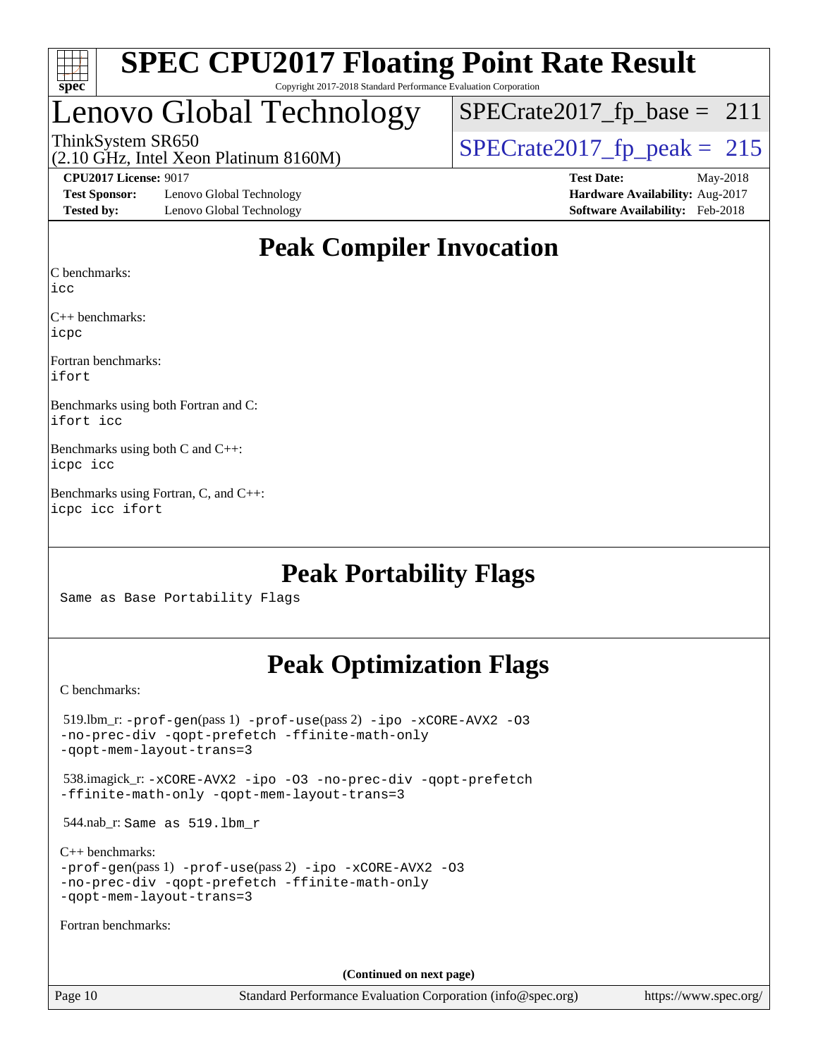

## Lenovo Global Technology

ThinkSystem SR650<br>(2.10 GHz, Intel Xeon Platinum 8160M)  $SPECrate2017_fp\_peak = 215$  $SPECTate2017_fp\_base = 211$ 

(2.10 GHz, Intel Xeon Platinum 8160M)

**[Test Sponsor:](http://www.spec.org/auto/cpu2017/Docs/result-fields.html#TestSponsor)** Lenovo Global Technology **[Hardware Availability:](http://www.spec.org/auto/cpu2017/Docs/result-fields.html#HardwareAvailability)** Aug-2017 **[Tested by:](http://www.spec.org/auto/cpu2017/Docs/result-fields.html#Testedby)** Lenovo Global Technology **[Software Availability:](http://www.spec.org/auto/cpu2017/Docs/result-fields.html#SoftwareAvailability)** Feb-2018

**[CPU2017 License:](http://www.spec.org/auto/cpu2017/Docs/result-fields.html#CPU2017License)** 9017 **[Test Date:](http://www.spec.org/auto/cpu2017/Docs/result-fields.html#TestDate)** May-2018

## **[Peak Compiler Invocation](http://www.spec.org/auto/cpu2017/Docs/result-fields.html#PeakCompilerInvocation)**

[C benchmarks](http://www.spec.org/auto/cpu2017/Docs/result-fields.html#Cbenchmarks):

[icc](http://www.spec.org/cpu2017/results/res2018q2/cpu2017-20180529-06568.flags.html#user_CCpeak_intel_icc_18.0_66fc1ee009f7361af1fbd72ca7dcefbb700085f36577c54f309893dd4ec40d12360134090235512931783d35fd58c0460139e722d5067c5574d8eaf2b3e37e92)

[C++ benchmarks:](http://www.spec.org/auto/cpu2017/Docs/result-fields.html#CXXbenchmarks) [icpc](http://www.spec.org/cpu2017/results/res2018q2/cpu2017-20180529-06568.flags.html#user_CXXpeak_intel_icpc_18.0_c510b6838c7f56d33e37e94d029a35b4a7bccf4766a728ee175e80a419847e808290a9b78be685c44ab727ea267ec2f070ec5dc83b407c0218cded6866a35d07)

[Fortran benchmarks](http://www.spec.org/auto/cpu2017/Docs/result-fields.html#Fortranbenchmarks): [ifort](http://www.spec.org/cpu2017/results/res2018q2/cpu2017-20180529-06568.flags.html#user_FCpeak_intel_ifort_18.0_8111460550e3ca792625aed983ce982f94888b8b503583aa7ba2b8303487b4d8a21a13e7191a45c5fd58ff318f48f9492884d4413fa793fd88dd292cad7027ca)

[Benchmarks using both Fortran and C](http://www.spec.org/auto/cpu2017/Docs/result-fields.html#BenchmarksusingbothFortranandC): [ifort](http://www.spec.org/cpu2017/results/res2018q2/cpu2017-20180529-06568.flags.html#user_CC_FCpeak_intel_ifort_18.0_8111460550e3ca792625aed983ce982f94888b8b503583aa7ba2b8303487b4d8a21a13e7191a45c5fd58ff318f48f9492884d4413fa793fd88dd292cad7027ca) [icc](http://www.spec.org/cpu2017/results/res2018q2/cpu2017-20180529-06568.flags.html#user_CC_FCpeak_intel_icc_18.0_66fc1ee009f7361af1fbd72ca7dcefbb700085f36577c54f309893dd4ec40d12360134090235512931783d35fd58c0460139e722d5067c5574d8eaf2b3e37e92)

[Benchmarks using both C and C++:](http://www.spec.org/auto/cpu2017/Docs/result-fields.html#BenchmarksusingbothCandCXX) [icpc](http://www.spec.org/cpu2017/results/res2018q2/cpu2017-20180529-06568.flags.html#user_CC_CXXpeak_intel_icpc_18.0_c510b6838c7f56d33e37e94d029a35b4a7bccf4766a728ee175e80a419847e808290a9b78be685c44ab727ea267ec2f070ec5dc83b407c0218cded6866a35d07) [icc](http://www.spec.org/cpu2017/results/res2018q2/cpu2017-20180529-06568.flags.html#user_CC_CXXpeak_intel_icc_18.0_66fc1ee009f7361af1fbd72ca7dcefbb700085f36577c54f309893dd4ec40d12360134090235512931783d35fd58c0460139e722d5067c5574d8eaf2b3e37e92)

[Benchmarks using Fortran, C, and C++](http://www.spec.org/auto/cpu2017/Docs/result-fields.html#BenchmarksusingFortranCandCXX): [icpc](http://www.spec.org/cpu2017/results/res2018q2/cpu2017-20180529-06568.flags.html#user_CC_CXX_FCpeak_intel_icpc_18.0_c510b6838c7f56d33e37e94d029a35b4a7bccf4766a728ee175e80a419847e808290a9b78be685c44ab727ea267ec2f070ec5dc83b407c0218cded6866a35d07) [icc](http://www.spec.org/cpu2017/results/res2018q2/cpu2017-20180529-06568.flags.html#user_CC_CXX_FCpeak_intel_icc_18.0_66fc1ee009f7361af1fbd72ca7dcefbb700085f36577c54f309893dd4ec40d12360134090235512931783d35fd58c0460139e722d5067c5574d8eaf2b3e37e92) [ifort](http://www.spec.org/cpu2017/results/res2018q2/cpu2017-20180529-06568.flags.html#user_CC_CXX_FCpeak_intel_ifort_18.0_8111460550e3ca792625aed983ce982f94888b8b503583aa7ba2b8303487b4d8a21a13e7191a45c5fd58ff318f48f9492884d4413fa793fd88dd292cad7027ca)

## **[Peak Portability Flags](http://www.spec.org/auto/cpu2017/Docs/result-fields.html#PeakPortabilityFlags)**

Same as Base Portability Flags

## **[Peak Optimization Flags](http://www.spec.org/auto/cpu2017/Docs/result-fields.html#PeakOptimizationFlags)**

[C benchmarks](http://www.spec.org/auto/cpu2017/Docs/result-fields.html#Cbenchmarks):

| $519.$ lbm_r: -prof-qen(pass 1) -prof-use(pass 2) -ipo -xCORE-AVX2 -03<br>-no-prec-div -gopt-prefetch -ffinite-math-only<br>-gopt-mem-layout-trans=3             |
|------------------------------------------------------------------------------------------------------------------------------------------------------------------|
| 538.imagick_r: -xCORE-AVX2 -ipo -03 -no-prec-div -qopt-prefetch<br>-ffinite-math-only -gopt-mem-layout-trans=3                                                   |
| $544$ .nab_r: Same as $519$ .lbm r                                                                                                                               |
| $C_{++}$ benchmarks:<br>$-prof-qen(pass 1) -prof-use(pass 2) -ipo -xCORE-AVX2 -O3$<br>-no-prec-div -qopt-prefetch -ffinite-math-only<br>-gopt-mem-layout-trans=3 |
| Fortran benchmarks:                                                                                                                                              |
|                                                                                                                                                                  |
| (Continued on next page)                                                                                                                                         |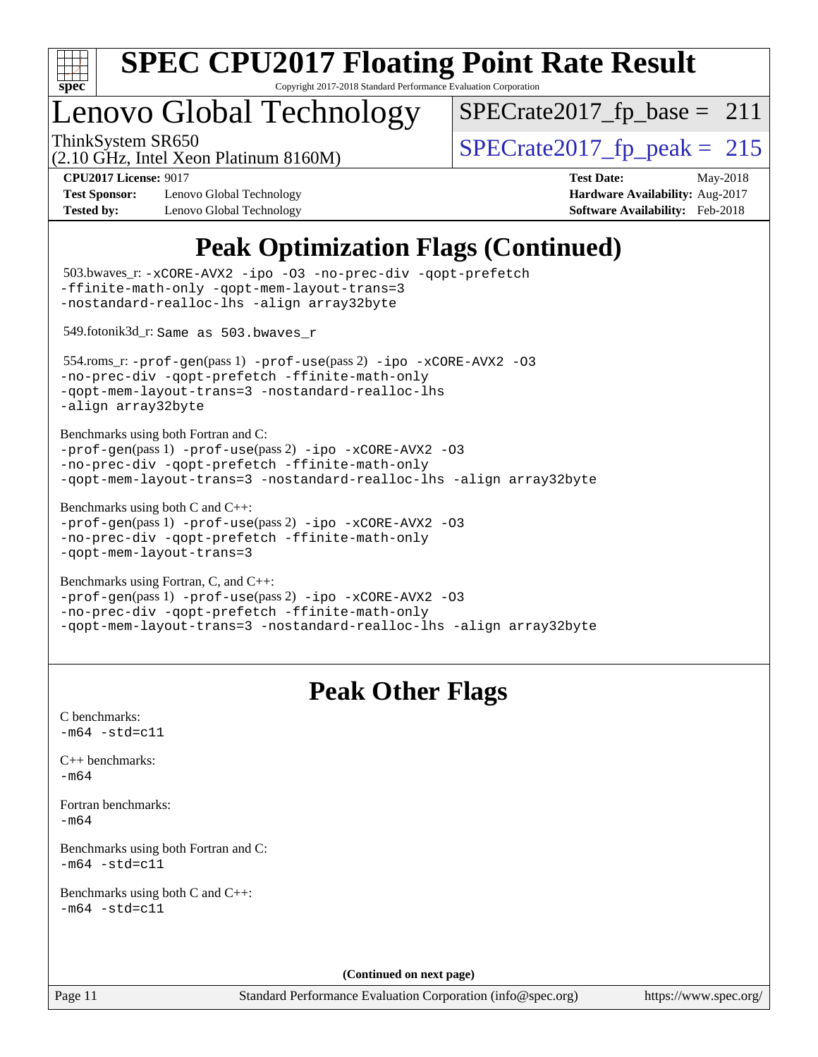

Copyright 2017-2018 Standard Performance Evaluation Corporation

## Lenovo Global Technology

ThinkSystem SR650<br>  $(2.10 \text{ GHz})$  Intel Year Platinum 8160M)  $SPECrate2017_fp\_base = 211$ 

(2.10 GHz, Intel Xeon Platinum 8160M)

**[Test Sponsor:](http://www.spec.org/auto/cpu2017/Docs/result-fields.html#TestSponsor)** Lenovo Global Technology **[Hardware Availability:](http://www.spec.org/auto/cpu2017/Docs/result-fields.html#HardwareAvailability)** Aug-2017 **[Tested by:](http://www.spec.org/auto/cpu2017/Docs/result-fields.html#Testedby)** Lenovo Global Technology **[Software Availability:](http://www.spec.org/auto/cpu2017/Docs/result-fields.html#SoftwareAvailability)** Feb-2018

**[CPU2017 License:](http://www.spec.org/auto/cpu2017/Docs/result-fields.html#CPU2017License)** 9017 **[Test Date:](http://www.spec.org/auto/cpu2017/Docs/result-fields.html#TestDate)** May-2018

## **[Peak Optimization Flags \(Continued\)](http://www.spec.org/auto/cpu2017/Docs/result-fields.html#PeakOptimizationFlags)**

```
(info@spec.org)https://www.spec.org/
  503.bwaves_r: -xCORE-AVX2 -ipo -O3 -no-prec-div -qopt-prefetch
-ffinite-math-only -qopt-mem-layout-trans=3
-nostandard-realloc-lhs -align array32byte
  549.fotonik3d_r: Same as 503.bwaves_r
  554.roms_r: -prof-gen(pass 1) -prof-use(pass 2) -ipo -xCORE-AVX2 -O3
-no-prec-div -qopt-prefetch -ffinite-math-only
-qopt-mem-layout-trans=3 -nostandard-realloc-lhs
-align array32byte
Benchmarks using both Fortran and C: 
-prof-gen(pass 1) -prof-use(pass 2) -ipo -xCORE-AVX2 -O3
-no-prec-div -qopt-prefetch -ffinite-math-only
-qopt-mem-layout-trans=3 -nostandard-realloc-lhs -align array32byte
Benchmarks using both C and C++: 
-prof-gen(pass 1) -prof-use(pass 2) -ipo -xCORE-AVX2 -O3
-no-prec-div -qopt-prefetch -ffinite-math-only
-qopt-mem-layout-trans=3
Benchmarks using Fortran, C, and C++: 
-prof-gen(pass 1) -prof-use(pass 2) -ipo -xCORE-AVX2 -O3
-no-prec-div -qopt-prefetch -ffinite-math-only
-qopt-mem-layout-trans=3 -nostandard-realloc-lhs -align array32byte
                                 Peak Other Flags
C benchmarks: 
-m64 - std= c11C++ benchmarks: 
-m64Fortran benchmarks: 
-m64
Benchmarks using both Fortran and C: 
-m64 - std= c11Benchmarks using both C and C++: 
-m64 - std= c11(Continued on next page)
```